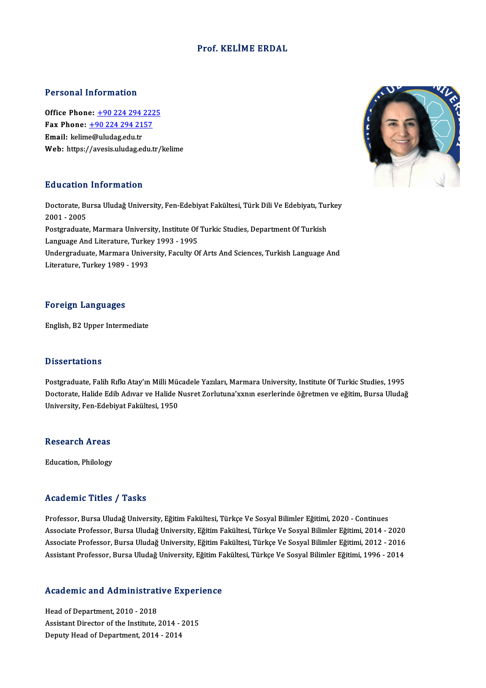### Prof. KELİME ERDAL

#### Personal Information

**Personal Information<br>Office Phone: +90 224 294 2225<br>Fax Phone: +90 224 294 2157** Fax Phone: <u>+90 224 294 222</u><br>Fax Phone: <u>+90 224 294 2157</u><br>Fmail: kolime@uludes.edu.<del>r.</del> Office Phone: <u>+90 224 294 1</u><br>Fax Phone: <u>+90 224 294 21</u><br>Email: kelim[e@uludag.edu.tr](tel:+90 224 294 2157) Fax Phone: <u>+90 224 294 2157</u><br>Email: kelime@uludag.edu.tr<br>Web: https://avesis.uludag.edu.tr/kelime

### Education Information

Education Information<br>Doctorate, Bursa Uludağ University, Fen-Edebiyat Fakültesi, Türk Dili Ve Edebiyatı, Turkey<br>2001 - 2005 2001 -2005<br>2001 - 2005<br>Postsueduste Doctorate, Bursa Uludağ University, Fen-Edebiyat Fakültesi, Türk Dili Ve Edebiyatı, Tur<br>2001 - 2005<br>Postgraduate, Marmara University, Institute Of Turkic Studies, Department Of Turkish<br>Language And Literature Turkey 1993 -2001 - 2005<br>Postgraduate, Marmara University, Institute Of Turkic Studies, Department Of Turkish<br>Language And Literature, Turkey 1993 - 1995 Postgraduate, Marmara University, Institute Of Turkic Studies, Department Of Turkish<br>Language And Literature, Turkey 1993 - 1995<br>Undergraduate, Marmara University, Faculty Of Arts And Sciences, Turkish Language And<br>Literat Language And Literature, Turke<br>Undergraduate, Marmara Unive<br>Literature, Turkey 1989 - 1993 Literature, Turkey 1989 - 1993<br>Foreign Languages

English,B2Upper Intermediate

#### **Dissertations**

Dissertations<br>Postgraduate, Falih Rıfkı Atay'ın Milli Mücadele Yazıları, Marmara University, Institute Of Turkic Studies, 1995<br>Dostarata Halida Edih Adwar ve Halida Nusret Zarlutuna'yyunu asarlarında öğretmen ve eğitim. Bu D'isses tatrense<br>Postgraduate, Falih Rıfkı Atay'ın Milli Mücadele Yazıları, Marmara University, Institute Of Turkic Studies, 1995<br>Doctorate, Halide Edib Adıvar ve Halide Nusret Zorlutuna'xxnın eserlerinde öğretmen ve eğiti Postgraduate, Falih Rıfkı Atay'ın Milli Müd<br>Doctorate, Halide Edib Adıvar ve Halide M<br>University, Fen-Edebiyat Fakültesi, 1950 University, Fen-Edebiyat Fakültesi, 1950<br>Research Areas

Education, Philology

### Academic Titles / Tasks

Professor, Bursa Uludağ University, Eğitim Fakültesi, Türkçe Ve Sosyal Bilimler Eğitimi, 2020 - Continues Associate Artice 7 Austis<br>Professor, Bursa Uludağ University, Eğitim Fakültesi, Türkçe Ve Sosyal Bilimler Eğitimi, 2020 - Continues<br>Associate Professor, Bursa Uludağ University, Eğitim Fakültesi, Türkçe Ve Sosyal Bilimler Professor, Bursa Uludağ University, Eğitim Fakültesi, Türkçe Ve Sosyal Bilimler Eğitimi, 2020 - Continues<br>Associate Professor, Bursa Uludağ University, Eğitim Fakültesi, Türkçe Ve Sosyal Bilimler Eğitimi, 2014 - 2020<br>Assoc Associate Professor, Bursa Uludağ University, Eğitim Fakültesi, Türkçe Ve Sosyal Bilimler Eğitimi, 2014 - 2020<br>Associate Professor, Bursa Uludağ University, Eğitim Fakültesi, Türkçe Ve Sosyal Bilimler Eğitimi, 2012 - 2016<br>

# Assistant Professor, Bursa Oludag University, Egium Pa<br>Academic and Administrative Experience

**Academic and Administrat<br>Head of Department, 2010 - 2018<br>Assistant Director of the Institute** Head of Department, 2010 - 2018<br>Assistant Director of the Institute, 2014 - 2015<br>Deputy Head of Department, 2014 - 2014 Head of Department, 2010 - 2018<br>Assistant Director of the Institute, 2014 - <br>Deputy Head of Department, 2014 - 2014

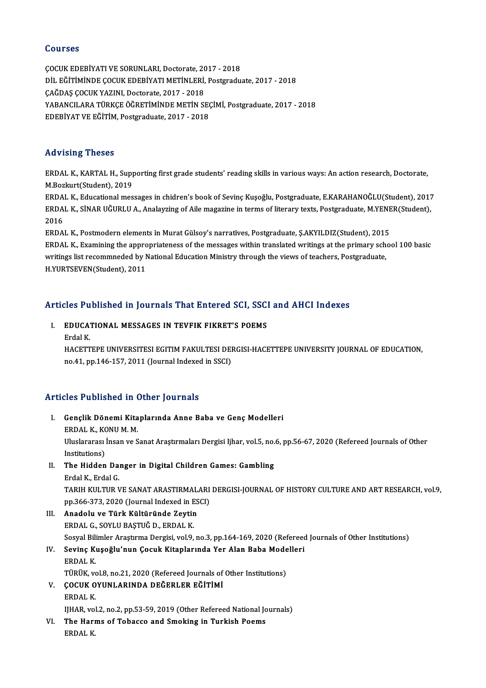### Courses

ÇOCUKEDEBİYATIVESORUNLARI,Doctorate,2017 -2018 SOGITUSE<br>ÇOCUK EDEBİYATI VE SORUNLARI, Doctorate, 2017 - 2018<br>DİL EĞİTİMİNDE ÇOCUK EDEBİYATI METİNLERİ, Postgraduate, 2017 - 2018<br>CAĞDAS COCUK YAZINI, Dostorata, 2017 - 2018 ÇOCUK EDEBİYATI VE SORUNLARI, Doctorate, 20<br>DİL EĞİTİMİNDE ÇOCUK EDEBİYATI METİNLERİ,<br>ÇAĞDAŞ ÇOCUK YAZINI, Doctorate, 2017 - 2018<br>YARANCU ARA TÜRKEE ÖĞRETİMİNDE METİN SI YABANCILARA TÜRKÇE ÖĞRETİMİNDE METİN SEÇİMİ, Postgraduate, 2017 - 2018<br>EDEBİYAT VE EĞİTİM, Postgraduate, 2017 - 2018 ÇAĞDAŞ ÇOCUK YAZINI, Doctorate, 2017 - 2018

### Advising Theses

Advising Theses<br>ERDAL K., KARTAL H., Supporting first grade students' reading skills in various ways: An action research, Doctorate,<br>M.Boglaut(Student), 2019 ERDAL K., KARTAL H., Supp<br>ERDAL K., KARTAL H., Supp<br>M.Bozkurt(Student), 2019

M.Bozkurt(Student), 2019<br>ERDAL K., Educational messages in chidren's book of Sevinç Kuşoğlu, Postgraduate, E.KARAHANOĞLU(Student), 2017 M.Bozkurt(Student), 2019<br>ERDAL K., Educational messages in chidren's book of Sevinç Kuşoğlu, Postgraduate, E.KARAHANOĞLU(Student), 2017<br>ERDAL K., SİNAR UĞURLU A., Analayzing of Aile magazine in terms of literary texts, Pos ERDA<br>ERDA<br>2016<br>ERDA ERDAL K., SİNAR UĞURLU A., Analayzing of Aile magazine in terms of literary texts, Postgraduate, M.YENE<br>2016<br>ERDAL K., Postmodern elements in Murat Gülsoy's narratives, Postgraduate, Ş.AKYILDIZ(Student), 2015<br>ERDAL K., Pos

2016<br>ERDAL K., Postmodern elements in Murat Gülsoy's narratives, Postgraduate, Ş.AKYILDIZ(Student), 2015<br>ERDAL K., Examining the appropriateness of the messages within translated writings at the primary school 100 basic<br>un ERDAL K., Postmodern elements in Murat Gülsoy's narratives, Postgraduate, Ş.AKYILDIZ(Student), 2015<br>ERDAL K., Examining the appropriateness of the messages within translated writings at the primary scho<br>writings list recom ERDAL K., Examining the appro<br>writings list recommneded by l<br>H.YURTSEVEN(Student), 2011

# Articles Published in Journals That Entered SCI, SSCI and AHCI Indexes

### rticles Published in Journals That Entered SCI, SSC<br>I. EDUCATIONAL MESSAGES IN TEVFIK FIKRET'S POEMS I. EDUCATIONAL MESSAGES IN TEVFIK FIKRET'S POEMS<br>Erdal K.

EDUCATIONAL MESSAGES IN TEVFIK FIKRET'S POEMS<br>Erdal K.<br>HACETTEPE UNIVERSITESI EGITIM FAKULTESI DERGISI-HACETTEPE UNIVERSITY JOURNAL OF EDUCATION,<br>no.41, np.146,157,2011 (Journal Indoved in SSCD) Erdal K.<br>HACETTEPE UNIVERSITESI EGITIM FAKULTESI DEI<br>no.41, pp.146-157, 2011 (Journal Indexed in SSCI)

## no.41, pp.146-157, 2011 (Journal Indexed in SSCI)<br>Articles Published in Other Journals

- rticles Published in Other Journals<br>I. Gençlik Dönemi Kitaplarında Anne Baba ve Genç Modelleri<br>FRDAL K. KONUM M SEE TUBILISHED IN<br>Gençlik Dönemi Kita<br>ERDAL K., KONU M. M.<br>Wixelereres Irson ve S Gençlik Dönemi Kitaplarında Anne Baba ve Genç Modelleri<br>ERDAL K., KONU M. M.<br>Uluslararası İnsan ve Sanat Araştırmaları Dergisi Ijhar, vol.5, no.6, pp.56-67, 2020 (Refereed Journals of Other<br>Institutione) ERDAL K., KO<br>Uluslararası<br>Institutions)<br>The Hidden Uluslararası İnsan ve Sanat Araştırmaları Dergisi Ijhar, vol.5, no.<br>Institutions)<br>II. The Hidden Danger in Digital Children Games: Gambling<br>Frdal K. Endal C Institutions)<br>II. The Hidden Danger in Digital Children Games: Gambling<br>Erdal K., Erdal G. The Hidden Danger in Digital Children Games: Gambling<br>Erdal K., Erdal G.<br>TARIH KULTUR VE SANAT ARASTIRMALARI DERGISI-JOURNAL OF HISTORY CULTURE AND ART RESEARCH, vol.9,<br>nn 366 373 3030 (Journal Indoved in ESC). Erdal K., Erdal G.<br>TARIH KULTUR VE SANAT ARASTIRMALARI<br>pp.366-373, 2020 (Journal Indexed in ESCI)<br>Anadalu ve Türk Kültüründe Zeutin III. Anadolu ve Türk Kültüründe Zeytin<br>ERDAL G., SOYLU BASTUĞ D., ERDAL K. pp.366-373, 2020 (Journal Indexed in ESCI) Sosyal Bilimler Araştırma Dergisi, vol.9, no.3, pp.164-169, 2020 (Refereed Journals of Other Institutions) ERDAL G., SOYLU BAŞTUĞ D., ERDAL K.<br>Sosyal Bilimler Araştırma Dergisi, vol.9, no.3, pp.164-169, 2020 (Refereed<br>IV. Sevinç Kuşoğlu'nun Çocuk Kitaplarında Yer Alan Baba Modelleri<br>FRDAL K. Sosyal Bili<br>S<mark>evinç K</mark>ı<br>ERDAL K.<br>Tüpüv *w* Sevinç Kuşoğlu'nun Çocuk Kitaplarında Yer Alan Baba Mode<br>ERDAL K.<br>TÜRÜK, vol.8, no.21, 2020 (Refereed Journals of Other Institutions)<br>COCUK OVUNLARINDA DEČERLER EČİTİMİ ERDAL K.<br>TÜRÜK, vol.8, no.21, 2020 (Refereed Journals of<br>V. COCUK OYUNLARINDA DEĞERLER EĞİTİMİ TÜRÜK, ve<br>**ÇOCUK O**<br>ERDAL K.<br>HHAP. vel COCUK OYUNLARINDA DEĞERLER EĞİTİMİ<br>ERDAL K.<br>IJHAR, vol.2, no.2, pp.53-59, 2019 (Other Refereed National Journals)<br>The Herme of Tebasse and Smeking in Turkish Beems ERDAL K.<br>IJHAR, vol.2, no.2, pp.53-59, 2019 (Other Refereed National Jo<br>VI. The Harms of Tobacco and Smoking in Turkish Poems<br>ERDAL K.
- IJHAR, vo<br><mark>The Har</mark>ı<br>ERDAL K.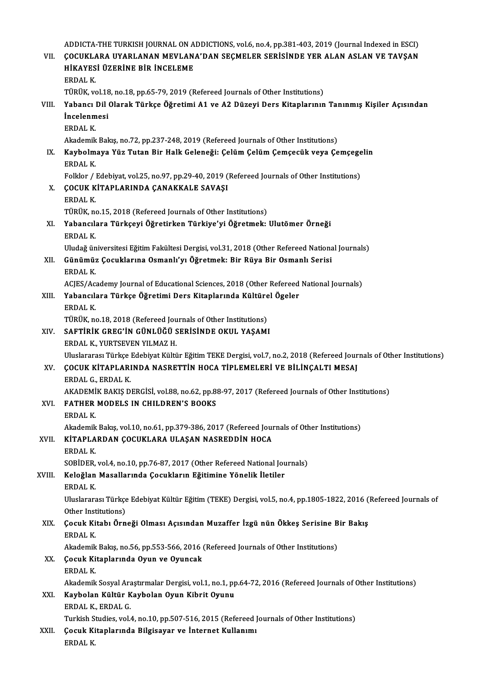ADDICTA-THE TURKISH JOURNAL ON ADDICTIONS, vol.6, no.4, pp.381-403, 2019 (Journal Indexed in ESCI)<br>COCUKLARA UVARLANAN MEVLANA'DAN SECMELER SERISINDE VER ALAN ASLAN VE TAVSAN ADDICTA-THE TURKISH JOURNAL ON ADDICTIONS, vol.6, no.4, pp.381-403, 2019 (Journal Indexed in ESCI)<br>VII. COCUKLARA UYARLANAN MEVLANA'DAN SEÇMELER SERİSİNDE YER ALAN ASLAN VE TAVŞAN ADDICTA-THE TURKISH JOURNAL ON A<br>ÇOCUKLARA UYARLANAN MEVLAN.<br>HİKAYESİ ÜZERİNE BİR İNCELEME<br>EPDAL K VII. ÇOCUKLARA UYARLANAN MEVLANA'DAN SEÇMELER SERİSİNDE YER ALAN ASLAN VE TAVŞAN HİKAYESİ ÜZERİNE BİR İNCELEME<br>ERDALK. HİKAYESİ ÜZERİNE BİR İNCELEME<br>ERDAL K.<br>TÜRÜK, vol.18, no.18, pp.65-79, 2019 (Refereed Journals of Other Institutions)<br>Yahancı Dil Olarak Türkçe Öğretimi A1 ve A2 Düzeyi Ders Kitanlarının ERDAL K.<br>TÜRÜK, vol.18, no.18, pp.65-79, 2019 (Refereed Journals of Other Institutions)<br>VIII. Yabancı Dil Olarak Türkçe Öğretimi A1 ve A2 Düzeyi Ders Kitaplarının Tanınmış Kişiler Açısından<br>İncelenmesi TÜRÜK, vol.18<br>Yabancı Dil<br>İncelenmesi<br>EPDAL *V* Yabancı<br>İncelenm<br>ERDAL K.<br>Akademik İncelenmesi<br>ERDAL K.<br>Akademik Bakış, no.72, pp.237-248, 2019 (Refereed Journals of Other Institutions)<br>Kaybolmava Vüz Tutan Bir Hall: Coloneği: Colüm Colüm Comseqük yoya Co ERDAL K.<br>Akademik Bakış, no.72, pp.237-248, 2019 (Refereed Journals of Other Institutions)<br>IX. Kaybolmaya Yüz Tutan Bir Halk Geleneği: Çelüm Çelüm Çemçecük veya Çemçegelin<br>FRDAL K Akademik<br><mark>Kaybolm</mark><br>ERDAL K.<br>Felkler / l Kaybolmaya Yüz Tutan Bir Halk Geleneği: Çelüm Çelüm Çemçecük veya Çemçege<br>ERDAL K.<br>Folklor / Edebiyat, vol.25, no.97, pp.29-40, 2019 (Refereed Journals of Other Institutions)<br>COCUK KİTABI ABINDA CANAKKALE SAVASI ERDAL K.<br>Folklor / Edebiyat, vol.25, no.97, pp.29-40, 2019 (<br>X. COCUK KİTAPLARINDA ÇANAKKALE SAVAŞI Folklor / 1<br>**ÇOCUK K**<br>ERDAL K.<br>TÜPÜK. P ÇOCUK KİTAPLARINDA ÇANAKKALE SAVAŞI<br>ERDAL K.<br>TÜRÜK, no.15, 2018 (Refereed Journals of Other Institutions)<br>Yahanaylara Türkaayi Öğretirkan Türkiya'yi Öğretmekı ERDAL K.<br>TÜRÜK, no.15, 2018 (Refereed Journals of Other Institutions)<br>XI. Yabancılara Türkçeyi Öğretirken Türkiye'yi Öğretmek: Ulutömer Örneği<br>ERDAL K. TÜRÜK, ne<br><mark>Yabancıl</mark>:<br>ERDAL K.<br>Uludağ ün Uludağ üniversitesi Eğitim Fakültesi Dergisi, vol.31, 2018 (Other Refereed National Journals) ERDAL K.<br>Uludağ üniversitesi Eğitim Fakültesi Dergisi, vol.31, 2018 (Other Refereed Nationa<br>XII. Günümüz Çocuklarına Osmanlı'yı Öğretmek: Bir Rüya Bir Osmanlı Serisi<br>FRDAL K Uludağ ün<br>**Günümü:**<br>ERDAL K.<br>ACIES (Ac Günümüz Çocuklarına Osmanlı'yı Öğretmek: Bir Rüya Bir Osmanlı Serisi<br>ERDAL K.<br>ACJES/Academy Journal of Educational Sciences, 2018 (Other Refereed National Journals)<br>Yahancılara Türkee Öğretimi Ders Kitaplarında Kültürel Ög ERDAL K.<br>ACJES/Academy Journal of Educational Sciences, 2018 (Other Refereed<br>XIII. Yabancılara Türkçe Öğretimi Ders Kitaplarında Kültürel Ögeler<br>ERDAL K. ACJES/Ac.<br>Yabancılı<br>ERDAL K.<br>TÜPÜK.n Yabancılara Türkçe Öğretimi Ders Kitaplarında Kültüre<br>ERDAL K.<br>TÜRÜK, no.18, 2018 (Refereed Journals of Other Institutions)<br>SAETİRİK CREC'İN CÜNI ÜĞÜ SERİSİNDE OKUL YASAMI XIV. SAFTİRİK GREG'İN GÜNLÜĞÜ SERİSİNDE OKUL YAŞAMI TÜRÜK, no.18, 2018 (Refereed Jou<br>SAFTİRİK GREG'İN GÜNLÜĞÜ S<br>ERDAL K., YURTSEVEN YILMAZ H.<br>Uluslararası Türkse Edebiyat Kültü Uluslararası Türkçe Edebiyat Kültür Eğitim TEKE Dergisi, vol.7, no.2, 2018 (Refereed Journals of Other Institutions) ERDAL K., YURTSEVEN YILMAZ H.<br>Uluslararası Türkçe Edebiyat Kültür Eğitim TEKE Dergisi, vol.7, no.2, 2018 (Refereed Jour<br>XV. GOCUK KİTAPLARINDA NASRETTİN HOCA TİPLEMELERİ VE BİLİNÇALTI MESAJ Uluslararası Türkçe<br>COCUK KİTAPLARI<br>ERDAL G., ERDAL K.<br>AKADEMİK PAKIS D COCUK KİTAPLARINDA NASRETTİN HOCA TİPLEMELERİ VE BİLİNÇALTI MESAJ<br>ERDAL G., ERDAL K.<br>AKADEMİK BAKIŞ DERGİSİ, vol.88, no.62, pp.88-97, 2017 (Refereed Journals of Other Institutions)<br>EATUER MODELS IN CHILDREN'S BOOKS ERDAL G., ERDAL K.<br>AKADEMIK BAKIŞ DERGİSİ, vol.88, no.62, pp.8<br>XVI. FATHER MODELS IN CHILDREN'S BOOKS<br>ERDAL K. AKADEMI<br>**FATHER**<br>ERDAL K. FATHER MODELS IN CHILDREN'S BOOKS<br>ERDAL K.<br>Akademik Bakış, vol.10, no.61, pp.379-386, 2017 (Refereed Journals of Other Institutions)<br>KİTARI ARDAN COCUKLARA IILASAN NASREDDİN HOCA XVII. KİTAPLARDAN ÇOCUKLARA ULAŞAN NASREDDİN HOCA<br>ERDAL K. Akademik<br>**KİTAPLA**<br>ERDAL K.<br>SORİDER SOBİDER, vol.4, no.10, pp.76-87, 2017 (Other Refereed National Journals) ERDAL K.<br>SOBİDER, vol.4, no.10, pp.76-87, 2017 (Other Refereed National Jou<br>XVIII. Keloğlan Masallarında Çocukların Eğitimine Yönelik İletiler<br>FRDAL K SOBİDER,<br>Keloğlan<br>ERDAL K.<br>Uluslarar: Keloğlan Masallarında Çocukların Eğitimine Yönelik İletiler<br>ERDAL K.<br>Uluslararası Türkçe Edebiyat Kültür Eğitim (TEKE) Dergisi, vol.5, no.4, pp.1805-1822, 2016 (Refereed Journals of ERDAL K.<br>Uluslararası Türkçe<br>Other Institutions)<br>Cosuk Kitabı Örn Uluslararası Türkçe Edebiyat Kültür Eğitim (TEKE) Dergisi, vol.5, no.4, pp.1805-1822, 2016 (<br>Other Institutions)<br>XIX. Cocuk Kitabı Örneği Olması Açısından Muzaffer İzgü nün Ökkeş Serisine Bir Bakış<br>ERDALK Other Inst<br>**Çocuk Ki**<br>ERDAL K.<br>Akademik Cocuk Kitabı Örneği Olması Açısından Muzaffer İzgü nün Ökkeş Serisine B<br>ERDAL K.<br>Akademik Bakış, no.56, pp.553-566, 2016 (Refereed Journals of Other Institutions)<br>Cosuk Kitaplanında Oyun ve Oyungak ERDAL K.<br>Akademik Bakış, no.56, pp.553-566, 2016 (XX.<br>XX. Gocuk Kitaplarında Oyun ve Oyuncak Akademik<br>**Çocuk Ki**<br>ERDAL K.<br>Akademik Çocuk Kitaplarında Oyun ve Oyuncak<br>ERDAL K.<br>Akademik Sosyal Araştırmalar Dergisi, vol.1, no.1, pp.64-72, 2016 (Refereed Journals of Other Institutions)<br>Kaybolan Kültür Kaybolan Quun Kibrit Quunu ERDAL K.<br>Akademik Sosyal Araştırmalar Dergisi, vol.1, no.1, p<br>XXI. Kaybolan Kültür Kaybolan Oyun Kibrit Oyunu<br>ERDAL K., ERDAL G. Akademik Sosyal Ara<br><mark>Kaybolan Kültür K</mark><br>ERDAL K., ERDAL G.<br>Turkich Studice vol. Turkish Studies, vol.4, no.10, pp.507-516, 2015 (Refereed Journals of Other Institutions) ERDAL K., ERDAL G.<br>Turkish Studies, vol.4, no.10, pp.507-516, 2015 (Refereed J<br>XXII. Çocuk Kitaplarında Bilgisayar ve İnternet Kullanımı<br>ERRAL K Turkish S<br><mark>Çocuk Ki</mark><br>ERDAL K.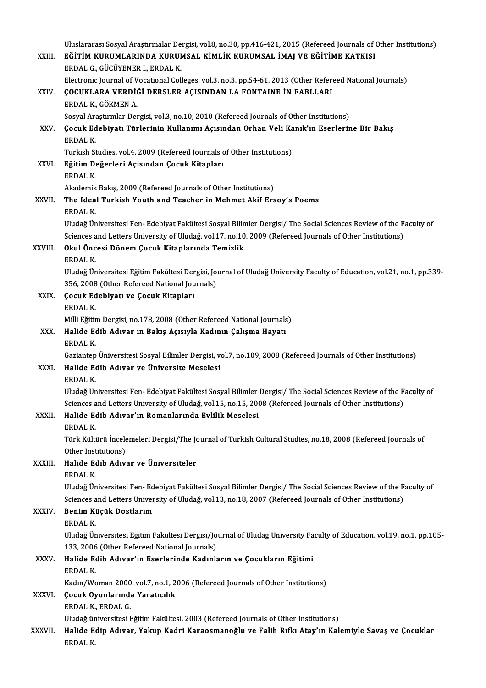|              | Uluslararası Sosyal Araştırmalar Dergisi, vol.8, no.30, pp.416-421, 2015 (Refereed Journals of Other Institutions)     |
|--------------|------------------------------------------------------------------------------------------------------------------------|
| XXIII.       | EĞİTİM KURUMLARINDA KURUMSAL KİMLİK KURUMSAL İMAJ VE EĞİTİME KATKISI                                                   |
|              | ERDAL G., GÜCÜYENER İ., ERDAL K.                                                                                       |
|              | Electronic Journal of Vocational Colleges, vol.3, no.3, pp.54-61, 2013 (Other Refereed National Journals)              |
| XXIV.        | ÇOCUKLARA VERDİĞİ DERSLER AÇISINDAN LA FONTAINE İN FABLLARI                                                            |
|              | ERDAL K., GÖKMEN A.                                                                                                    |
|              | Sosyal Araştırmlar Dergisi, vol.3, no.10, 2010 (Refereed Journals of Other Institutions)                               |
| XXV.         | Çocuk Edebiyatı Türlerinin Kullanımı Açısından Orhan Veli Kanık'ın Eserlerine Bir Bakış                                |
|              | ERDAL K.                                                                                                               |
|              | Turkish Studies, vol.4, 2009 (Refereed Journals of Other Institutions)                                                 |
| XXVI.        | Eğitim Değerleri Açısından Çocuk Kitapları                                                                             |
|              | ERDAL K.                                                                                                               |
|              | Akademik Bakış, 2009 (Refereed Journals of Other Institutions)                                                         |
| XXVII.       | The Ideal Turkish Youth and Teacher in Mehmet Akif Ersoy's Poems                                                       |
|              | <b>ERDAL K</b>                                                                                                         |
|              | Uludağ Üniversitesi Fen-Edebiyat Fakültesi Sosyal Bilimler Dergisi/ The Social Sciences Review of the Faculty of       |
|              | Sciences and Letters University of Uludağ, vol.17, no.10, 2009 (Refereed Journals of Other Institutions)               |
| XXVIII.      | Okul Öncesi Dönem Çocuk Kitaplarında Temizlik                                                                          |
|              | ERDAL K                                                                                                                |
|              | Uludağ Üniversitesi Eğitim Fakültesi Dergisi, Journal of Uludağ University Faculty of Education, vol.21, no.1, pp.339- |
|              | 356, 2008 (Other Refereed National Journals)                                                                           |
| XXIX.        | Çocuk Edebiyatı ve Çocuk Kitapları<br>ERDAL K.                                                                         |
|              | Milli Eğitim Dergisi, no.178, 2008 (Other Refereed National Journals)                                                  |
| XXX.         | Halide Edib Adıvar ın Bakış Açısıyla Kadının Çalışma Hayatı                                                            |
|              | <b>ERDAL K</b>                                                                                                         |
|              | Gaziantep Üniversitesi Sosyal Bilimler Dergisi, vol.7, no.109, 2008 (Refereed Journals of Other Institutions)          |
| XXXI.        | Halide Edib Adıvar ve Üniversite Meselesi                                                                              |
|              | ERDAL K                                                                                                                |
|              | Uludağ Üniversitesi Fen-Edebiyat Fakültesi Sosyal Bilimler Dergisi/ The Social Sciences Review of the Faculty of       |
|              | Sciences and Letters University of Uludağ, vol.15, no.15, 2008 (Refereed Journals of Other Institutions)               |
| <b>XXXII</b> | Halide Edib Adıvar'ın Romanlarında Evlilik Meselesi                                                                    |
|              | ERDAL K                                                                                                                |
|              | Türk Kültürü İncelemeleri Dergisi/The Journal of Turkish Cultural Studies, no.18, 2008 (Refereed Journals of           |
|              | Other Institutions)                                                                                                    |
| XXXIII.      | Halide Edib Adıvar ve Üniversiteler                                                                                    |
|              | ERDAL K.                                                                                                               |
|              | Uludağ Üniversitesi Fen-Edebiyat Fakültesi Sosyal Bilimler Dergisi/ The Social Sciences Review of the Faculty of       |
|              | Sciences and Letters University of Uludağ, vol.13, no.18, 2007 (Refereed Journals of Other Institutions)               |
| <b>XXXIV</b> | Benim Küçük Dostlarım                                                                                                  |
|              | ERDAL K.                                                                                                               |
|              | Uludağ Üniversitesi Eğitim Fakültesi Dergisi/Journal of Uludağ University Faculty of Education, vol.19, no.1, pp.105-  |
|              | 133, 2006 (Other Refereed National Journals)                                                                           |
| XXXV.        | Halide Edib Adıvar'ın Eserlerinde Kadınların ve Çocukların Eğitimi<br>ERDAL K.                                         |
|              | Kadın/Woman 2000, vol.7, no.1, 2006 (Refereed Journals of Other Institutions)                                          |
| XXXVI.       | Çocuk Oyunlarında Yaratıcılık                                                                                          |
|              | ERDAL K, ERDAL G                                                                                                       |
|              | Uludağ üniversitesi Eğitim Fakültesi, 2003 (Refereed Journals of Other Institutions)                                   |
| XXXVII.      | Halide Edip Adıvar, Yakup Kadri Karaosmanoğlu ve Falih Rıfkı Atay'ın Kalemiyle Savaş ve Çocuklar                       |
|              | ERDAL K.                                                                                                               |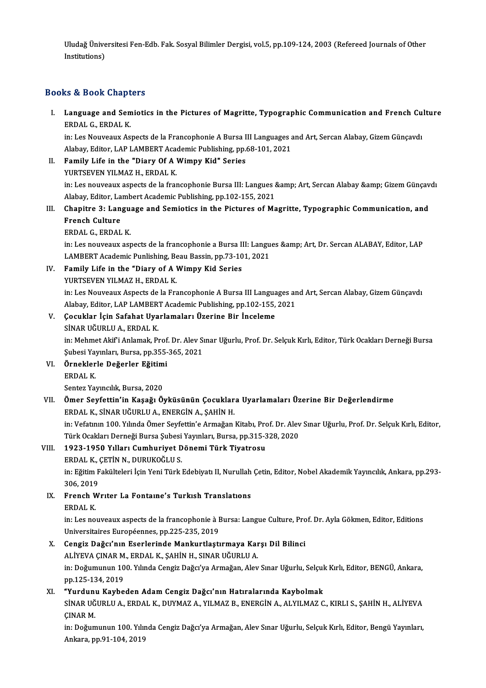Uludağ Üniversitesi Fen-Edb. Fak. Sosyal Bilimler Dergisi, vol.5, pp.109-124, 2003 (Refereed Journals of Other<br>Institutions) Uludağ Ünive<br>Institutions)

## Institutions)<br>Books & Book Chapters

ooks & Book Chapters<br>I. Language and Semiotics in the Pictures of Magritte, Typographic Communication and French Culture<br>FRDAL C. FRDALK ERD COOK SHAPE<br>Language and Sen<br>ERDAL G., ERDAL K. Language and Semiotics in the Pictures of Magritte, Typographic Communication and French Cu<br>ERDAL G., ERDAL K.<br>in: Les Nouveaux Aspects de la Francophonie A Bursa III Languages and Art, Sercan Alabay, Gizem Günçavdı<br>Alabay

ERDAL G., ERDAL K.<br>in: Les Nouveaux Aspects de la Francophonie A Bursa III Languages and Art, Sercan Alabay, Gizem Günçavdı<br>Alabay, Editor, LAP LAMBERT Academic Publishing, pp.68-101, 2021

- II. Family Life in the "Diary Of A Wimpy Kid" Series YURTSEVEN YILMAZ H., ERDAL K. in: Les nouveaux aspects de la francophonie Bursa III: Langues & Art, Sercan Alabay & Gizem Günçavdı YURTSEVEN YILMAZ H., ERDAL K.<br>in: Les nouveaux aspects de la francophonie Bursa III: Langues &<br>Alabay, Editor, Lambert Academic Publishing, pp.102-155, 2021<br>Chanitre <sup>2</sup>: Language and Samietics in the Bistunes of Me
- in: Les nouveaux aspects de la francophonie Bursa III: Langues & Art, Sercan Alabay & Gizem Günçav<br>Alabay, Editor, Lambert Academic Publishing, pp.102-155, 2021<br>III. Chapitre 3: Language and Semiotics in the Pictur Alabay, Editor, La<br>Chapitre 3: Lan<br>French Culture<br>EPDAL C. EPDAL Chapitre 3: Langu<br>French Culture<br>ERDAL G., ERDAL K.<br>in: Les nouveaux est

French Culture<br>ERDAL G., ERDAL K.<br>in: Les nouveaux aspects de la francophonie a Bursa III: Langues &amp; Art, Dr. Sercan ALABAY, Editor, LAP<br>LAMPERT Asadomis Punlishing, Beau Bassin, pp.73-101-2021 ERDAL G., ERDAL K.<br>in: Les nouveaux aspects de la francophonie a Bursa III: Langu<br>LAMBERT Academic Punlishing, Beau Bassin, pp.73-101, 2021<br>Family Life in the "Diany of A Wimny Kid Sories In: Les nouveaux aspects de la francophonie a Bursa I<br>LAMBERT Academic Punlishing, Beau Bassin, pp.73-10<br>IV. Family Life in the "Diary of A Wimpy Kid Series<br>VIIPTSEVEN VII MAZ H. EPDAL K

LAMBERT Academic Punlishing, Bending<br>**Family Life in the "Diary of A**<br>YURTSEVEN YILMAZ H., ERDAL K. Family Life in the "Diary of A Wimpy Kid Series<br>YURTSEVEN YILMAZ H., ERDAL K.<br>in: Les Nouveaux Aspects de la Francophonie A Bursa III Languages and Art, Sercan Alabay, Gizem Günçavdı<br>Alabay, Editor, LAB LAMBERT Academis Bu YURTSEVEN YILMAZ H., ERDAL K.<br>in: Les Nouveaux Aspects de la Francophonie A Bursa III Languages ar<br>Alabay, Editor, LAP LAMBERT Academic Publishing, pp.102-155, 2021<br>Cosuklar Lein Safabat Uvarlamaları Üzerine Bir İngeleme in: Les Nouveaux Aspects de la Francophonie A Bursa III Langua<br>Alabay, Editor, LAP LAMBERT Academic Publishing, pp.102-155,<br>V. Cocuklar İçin Safahat Uyarlamaları Üzerine Bir İnceleme<br>SİNAR HÖLIRLILA, ERDAL K

Alabay, Editor, LAP LAMBER<br>**Çocuklar İçin Safahat Uya**<br>SİNAR UĞURLU A., ERDAL K.<br>in: Mehmet Aki<sup>ç</sup>i Anlamak. P.

Çocuklar İçin Safahat Uyarlamaları Üzerine Bir İnceleme<br>SİNAR UĞURLU A., ERDAL K.<br>in: Mehmet Akif'i Anlamak, Prof. Dr. Alev Sınar Uğurlu, Prof. Dr. Selçuk Kırlı, Editor, Türk Ocakları Derneği Bursa<br>Subesi Yayınları, Pursa, SİNAR UĞURLU A., ERDAL K.<br>in: Mehmet Akif'i Anlamak, Prof. Dr. Alev Sı<br>Şubesi Yayınları, Bursa, pp.355-365, 2021<br>Örneklerle Değerler Eğitimi Subesi Yayınları, Bursa, pp.355-365, 2021

VI. Örneklerle Değerler Eğitimi Sentez Yayıncılık, Bursa, 2020

### VII. Ömer Seyfettin'in Kaşağı Öyküsünün Çocuklara Uyarlamaları Üzerine Bir Değerlendirme ERDAL K., SİNAR UĞURLU A., ENERGİN A., ŞAHİN H. Ömer Seyfettin'in Kaşağı Öyküsünün Çocuklara Uyarlamaları Üzerine Bir Değerlendirme<br>ERDAL K., SİNAR UĞURLU A., ENERGİN A., ŞAHİN H.<br>in: Vefatının 100. Yılında Ömer Seyfettin'e Armağan Kitabı, Prof. Dr. Alev Sınar Uğurlu, P

ERDAL K., SİNAR UĞURLU A., ENERGİN A., ŞAHİN H.<br>in: Vefatının 100. Yılında Ömer Seyfettin'e Armağan Kitabı, Prof. Dr. Alev.<br>Türk Ocakları Derneği Bursa Şubesi Yayınları, Bursa, pp.315-328, 2020<br>1933-1950 Yılları Cumbuniyat in: Vefatının 100. Yılında Ömer Seyfettin'e Armağan Kitabı, Propositin'n Cumhuriyet Dönemi Türk Tiyatrosu<br>VIII. 1923-1950 Yılları Cumhuriyet Dönemi Türk Tiyatrosu<br>FRDAL K. GETİN N. DURUKOĞLU S

### Türk Ocakları Derneği Bursa Şubesi<br>1923-1950 Yılları Cumhuriyet D<br>ERDAL K., ÇETİN N., DURUKOĞLU S.<br>inı Eğitim Fakültaleri İsin Yoni Türk l

ERDAL K., ÇETİN N., DURUKOĞLU S.

in: Eğitim Fakülteleri İçin Yeni Türk Edebiyatı II, Nurullah Çetin, Editor, Nobel Akademik Yayıncılık, Ankara, pp.293-<br>306. 2019 in: Eğitim Fakülteleri İçin Yeni Türk Edebiyatı II, Nurullah<br>306, 2019<br>IX. French Wrıter La Fontaine's Turkısh Translations

### 306, 2019<br>French V<br>ERDAL K.<br>in Les no

French Writer La Fontaine's Turkish Translations<br>ERDAL K.<br>in: Les nouveaux aspects de la francophonie à Bursa: Langue Culture, Prof. Dr. Ayla Gökmen, Editor, Editions<br>Universitaires Européannes, pp.225-225-2019. ERDAL K.<br>in: Les nouveaux aspects de la francophonie à I<br>Universitaires Européennes, pp.225-235, 2019<br>Congig Dağa''nın Esopleninde Mapluutlesti in: Les nouveaux aspects de la francophonie à Bursa: Langue Culture, Pro<br>Universitaires Européennes, pp.225-235, 2019<br>X. Cengiz Dağcı'nın Eserlerinde Mankurtlaştırmaya Karşı Dil Bilinci<br>ALİVEVA CINAR M. ERDAL K. SAHİN H. S

Universitaires Européennes, pp.225-235, 2019<br>Cengiz Dağcı'nın Eserlerinde Mankurtlaştırmaya Kar<br>ALİYEVA ÇINAR M., ERDAL K., ŞAHİN H., SINAR UĞURLU A.<br>in: Değumunun 100 Yılında Cangiz Değgi'ız Armağan Alev Cengiz Dağcı'nın Eserlerinde Mankurtlaştırmaya Karşı Dil Bilinci<br>ALİYEVA ÇINAR M., ERDAL K., ŞAHİN H., SINAR UĞURLU A.<br>in: Doğumunun 100. Yılında Cengiz Dağcı'ya Armağan, Alev Sınar Uğurlu, Selçuk Kırlı, Editor, BENGÜ, Ank ALİYEVA ÇINAR M<br>in: Doğumunun 10<br>pp.125-134, 2019<br>"Yundunu *Y*ayba in: Doğumunun 100. Yılında Cengiz Dağcı'ya Armağan, Alev Sınar Uğurlu, Selçul<br>pp.125-134, 2019<br>XI. "Yurdunu Kaybeden Adam Cengiz Dağcı'nın Hatıralarında Kaybolmak<br>SİNAR UĞURLU A. ERDAL K. DUYMAZ A. YU MAZ B. ENERÇİN A. ALY

### XI. "Yurdunu Kaybeden Adam Cengiz Dağcı'nın Hatıralarında Kaybolmak

pp.125-134, 2019<br>"Yurdunu Kaybeden Adam Cengiz Dağcı'nın Hatıralarında Kaybolmak<br>SİNAR UĞURLU A., ERDAL K., DUYMAZ A., YILMAZ B., ENERGİN A., ALYILMAZ C., KIRLI S., ŞAHİN H., ALİYEVA<br>CINAR M. SİNAR UĞURLU A., ERDAL K., DUYMAZ A., YILMAZ B., ENERGİN A., ALYILMAZ C., KIRLI S., ŞAHİN H., ALİYEVA<br>ÇINAR M.<br>in: Doğumunun 100. Yılında Cengiz Dağcı'ya Armağan, Alev Sınar Uğurlu, Selçuk Kırlı, Editor, Bengü Yayınları,<br>A

ÇINAR M.<br>in: Doğumunun 100. Yılır<br>Ankara, pp.91-104, 2019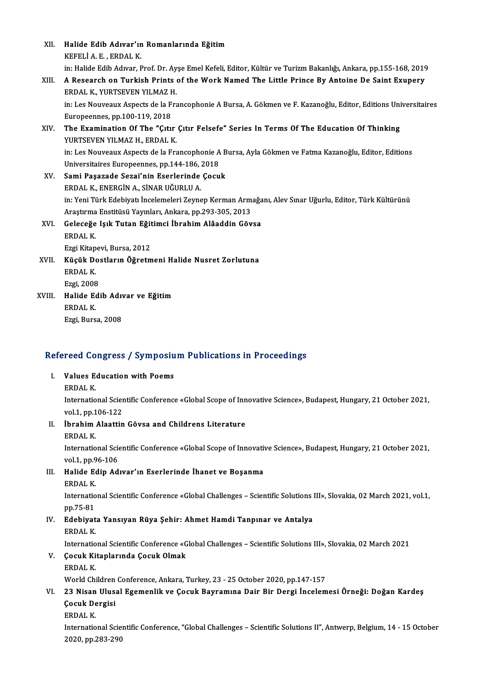| XII.   | Halide Edib Adıvar'ın Romanlarında Eğitim<br>KEFELIA E , ERDAL K                                                                                                  |
|--------|-------------------------------------------------------------------------------------------------------------------------------------------------------------------|
|        | in: Halide Edib Adıvar, Prof. Dr. Ayşe Emel Kefeli, Editor, Kültür ve Turizm Bakanlığı, Ankara, pp.155-168, 2019                                                  |
| XIII.  | A Research on Turkish Prints of the Work Named The Little Prince By Antoine De Saint Exupery<br>ERDAL K., YURTSEVEN YILMAZ H.                                     |
|        | in: Les Nouveaux Aspects de la Francophonie A Bursa, A. Gökmen ve F. Kazanoğlu, Editor, Editions Universitaires<br>Europeennes, pp.100-119, 2018                  |
| XIV.   | The Examination Of The "Çıtır Çıtır Felsefe" Series In Terms Of The Education Of Thinking<br>YURTSEVEN YILMAZ H., ERDAL K.                                        |
|        | in: Les Nouveaux Aspects de la Francophonie A Bursa, Ayla Gökmen ve Fatma Kazanoğlu, Editor, Editions<br>Universitaires Europeennes, pp.144-186, 2018             |
| XV.    | Sami Paşazade Sezai'nin Eserlerinde Çocuk<br>ERDAL K., ENERGIN A., SİNAR UĞURLU A.                                                                                |
|        | in: Yeni Türk Edebiyatı İncelemeleri Zeynep Kerman Armağanı, Alev Sınar Uğurlu, Editor, Türk Kültürünü<br>Araştırma Enstitüsü Yayınları, Ankara, pp.293-305, 2013 |
| XVI.   | Geleceğe Işık Tutan Eğitimci İbrahim Alâaddin Gövsa<br><b>ERDAL K</b>                                                                                             |
|        | Ezgi Kitapevi, Bursa, 2012                                                                                                                                        |
| XVII.  | Küçük Dostların Öğretmeni Halide Nusret Zorlutuna                                                                                                                 |
|        | <b>ERDAL K</b>                                                                                                                                                    |
|        | Ezgi, 2008                                                                                                                                                        |
| XVIII. | Halide Edib Adıvar ve Eğitim                                                                                                                                      |
|        | <b>ERDAL K</b>                                                                                                                                                    |
|        | Ezgi, Bursa, 2008                                                                                                                                                 |

### efereed Congress / Symposiu<br>I. Values Education with Poems<br>EPDAL K

Values Education with Poems<br>ERDAL K.

Values Education with Poems<br>ERDAL K.<br>International Scientific Conference «Global Scope of Innovative Science», Budapest, Hungary, 21 October 2021, ERDAL K.<br>International Scier<br>vol.1, pp.106-122<br>Ibrobim Aleattin International Scientific Conference «Global Scope of Inn<br>vol.1, pp.106-122<br>II. **İbrahim Alaattin Gövsa and Childrens Literature** 

- vol.1, pp.1<br>**İbrahim**<br>ERDAL K.<br>Internatio
	-

ERDAL K.<br>International Scientific Conference «Global Scope of Innovative Science», Budapest, Hungary, 21 October 2021, ERDAL K.<br>International Scie<br>vol.1, pp.96-106<br>Halide Edin Ad

III. Halide Edip Adıvar'ın Eserlerinde İhanet ve Boşanma<br>ERDAL K. vol.1, pp.9<br>Halide Ec<br>ERDAL K.<br>Internatio

Halide Edip Adıvar'ın Eserlerinde İhanet ve Boşanma<br>ERDAL K.<br>International Scientific Conference «Global Challenges – Scientific Solutions III», Slovakia, 02 March 2021, vol.1,<br>nn 75 81 ERDAL K.<br>Internatio<br>pp.75-81<br>Edebiust International Scientific Conference «Global Challenges – Scientific Solutions)<br>pp.75-81<br>IV. Edebiyata Yansıyan Rüya Şehir: Ahmet Hamdi Tanpınar ve Antalya<br>EPDAL K

### pp.75-81<br>IV. Edebiyata Yansıyan Rüya Şehir: Ahmet Hamdi Tanpınar ve Antalya<br>ERDAL K.

International Scientific Conference «Global Challenges - Scientific Solutions III», Slovakia, 02 March 2021

### ERDAL K.<br>International Scientific Conference «G<br>V. Cocuk Kitaplarında Çocuk Olmak<br>ERDAL K Internatio<br>**Çocuk Ki**<br>ERDAL K.<br>World Chi

ERDAL K.<br>World Children Conference, Ankara, Turkey, 23 - 25 October 2020, pp.147-157

### ERDAL K.<br>World Children Conference, Ankara, Turkey, 23 - 25 October 2020, pp.147-157<br>VI. 23 Nisan Ulusal Egemenlik ve Çocuk Bayramına Dair Bir Dergi İncelemesi Örneği: Doğan Kardeş<br>Gesuk Dergisi World Children<br>23 Nisan Ulus:<br>Çocuk Dergisi<br>EPDAL K 23 Nisan<br>Çocuk De<br>ERDAL K.<br>Internatio

Cocuk Dergisi<br>ERDAL K.<br>International Scientific Conference, "Global Challenges – Scientific Solutions II", Antwerp, Belgium, 14 - 15 October 2020,pp.283-290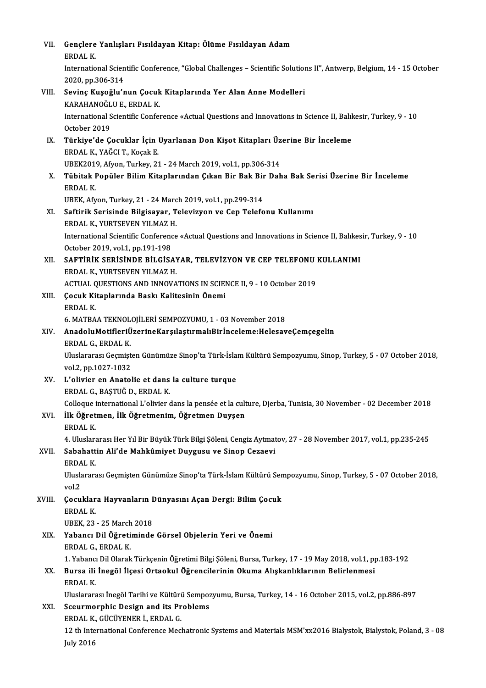| VII.   | Gençlere Yanlışları Fısıldayan Kitap: Ölüme Fısıldayan Adam                                                           |
|--------|-----------------------------------------------------------------------------------------------------------------------|
|        | <b>ERDAL K</b>                                                                                                        |
|        | International Scientific Conference, "Global Challenges - Scientific Solutions II", Antwerp, Belgium, 14 - 15 October |
|        | 2020, pp 306-314                                                                                                      |
| VIII.  | Sevinç Kuşoğlu'nun Çocuk Kitaplarında Yer Alan Anne Modelleri                                                         |
|        | KARAHANOĞLU E., ERDAL K.                                                                                              |
|        | International Scientific Conference «Actual Questions and Innovations in Science II, Balıkesir, Turkey, 9 - 10        |
|        | October 2019                                                                                                          |
| IX.    | Türkiye'de Çocuklar İçin Uyarlanan Don Kişot Kitapları Üzerine Bir İnceleme                                           |
|        | ERDAL K., YAĞCI T., Koçak E.                                                                                          |
|        | UBEK2019, Afyon, Turkey, 21 - 24 March 2019, vol.1, pp.306-314                                                        |
| Х.     | Tübitak Popüler Bilim Kitaplarından Çıkan Bir Bak Bir Daha Bak Serisi Üzerine Bir İnceleme                            |
|        | <b>ERDAL K</b>                                                                                                        |
|        | UBEK, Afyon, Turkey, 21 - 24 March 2019, vol.1, pp.299-314                                                            |
| XI.    | Saftirik Serisinde Bilgisayar, Televizyon ve Cep Telefonu Kullanımı                                                   |
|        | ERDAL K., YURTSEVEN YILMAZ H.                                                                                         |
|        | International Scientific Conference «Actual Questions and Innovations in Science II, Balıkesir, Turkey, 9 - 10        |
|        | October 2019, vol 1, pp 191-198                                                                                       |
| XII.   | SAFTIRIK SERISINDE BILGISAYAR, TELEVIZYON VE CEP TELEFONU KULLANIMI                                                   |
|        | ERDAL K., YURTSEVEN YILMAZ H.<br>ACTUAL QUESTIONS AND INNOVATIONS IN SCIENCE II, 9 - 10 October 2019                  |
| XIII.  | Çocuk Kitaplarında Baskı Kalitesinin Önemi                                                                            |
|        | <b>ERDAL K</b>                                                                                                        |
|        | 6. MATBAA TEKNOLOJİLERİ SEMPOZYUMU, 1 - 03 November 2018                                                              |
| XIV.   | AnadoluMotifleriÜzerineKarşılaştırmalıBirİnceleme:HelesaveÇemçegelin                                                  |
|        | ERDAL G, ERDAL K                                                                                                      |
|        | Uluslararası Geçmişten Günümüze Sinop'ta Türk-İslam Kültürü Sempozyumu, Sinop, Turkey, 5 - 07 October 2018,           |
|        | vol 2, pp 1027-1032                                                                                                   |
| XV.    | L'olivier en Anatolie et dans la culture turque                                                                       |
|        | ERDAL G., BAŞTUĞ D., ERDAL K.                                                                                         |
|        | Colloque international L'olivier dans la pensée et la culture, Djerba, Tunisia, 30 November - 02 December 2018        |
| XVI.   | İlk Öğretmen, İlk Öğretmenim, Öğretmen Duyşen                                                                         |
|        | <b>ERDAL K</b>                                                                                                        |
|        | 4. Uluslararası Her Yıl Bir Büyük Türk Bilgi Şöleni, Cengiz Aytmatov, 27 - 28 November 2017, vol.1, pp.235-245        |
| XVII.  | Sabahattin Ali'de Mahkûmiyet Duygusu ve Sinop Cezaevi                                                                 |
|        | <b>ERDAL K</b>                                                                                                        |
|        | Uluslararası Geçmişten Günümüze Sinop'ta Türk-İslam Kültürü Sempozyumu, Sinop, Turkey, 5 - 07 October 2018,           |
|        | vol <sub>2</sub>                                                                                                      |
| XVIII. | Çocuklara Hayvanların Dünyasını Açan Dergi: Bilim Çocuk                                                               |
|        | <b>ERDAL K</b>                                                                                                        |
|        | UBEK, 23 - 25 March 2018<br>Yabancı Dil Öğretiminde Görsel Objelerin Yeri ve Önemi                                    |
| XIX.   | ERDAL G., ERDAL K.                                                                                                    |
|        | 1. Yabancı Dil Olarak Türkçenin Öğretimi Bilgi Şöleni, Bursa, Turkey, 17 - 19 May 2018, vol.1, pp.183-192             |
| XX.    | Bursa ili İnegöl İlçesi Ortaokul Öğrencilerinin Okuma Alışkanlıklarının Belirlenmesi                                  |
|        | <b>ERDAL K</b>                                                                                                        |
|        | Uluslararası İnegöl Tarihi ve Kültürü Sempozyumu, Bursa, Turkey, 14 - 16 October 2015, vol.2, pp.886-897              |
| XXI.   | <b>Sceurmorphic Design and its Problems</b>                                                                           |
|        | ERDAL K., GÜCÜYENER İ., ERDAL G.                                                                                      |
|        | 12 th International Conference Mechatronic Systems and Materials MSM'xx2016 Bialystok, Bialystok, Poland, 3 - 08      |
|        | <b>July 2016</b>                                                                                                      |
|        |                                                                                                                       |